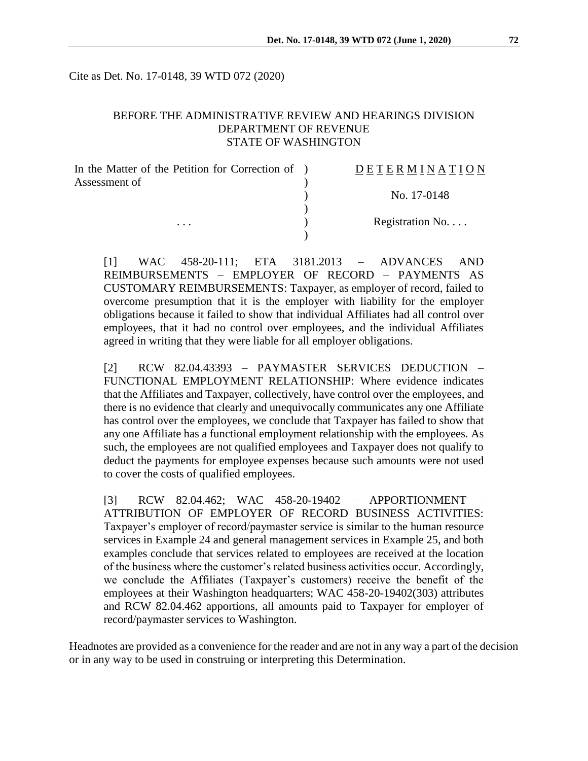Cite as Det. No. 17-0148, 39 WTD 072 (2020)

## BEFORE THE ADMINISTRATIVE REVIEW AND HEARINGS DIVISION DEPARTMENT OF REVENUE STATE OF WASHINGTON

| In the Matter of the Petition for Correction of ) | DETERMINATION    |
|---------------------------------------------------|------------------|
| Assessment of                                     |                  |
|                                                   | No. 17-0148      |
|                                                   |                  |
| $\cdots$                                          | Registration No. |
|                                                   |                  |

[1] WAC 458-20-111; ETA 3181.2013 – ADVANCES AND REIMBURSEMENTS – EMPLOYER OF RECORD – PAYMENTS AS CUSTOMARY REIMBURSEMENTS: Taxpayer, as employer of record, failed to overcome presumption that it is the employer with liability for the employer obligations because it failed to show that individual Affiliates had all control over employees, that it had no control over employees, and the individual Affiliates agreed in writing that they were liable for all employer obligations.

[2] RCW 82.04.43393 – PAYMASTER SERVICES DEDUCTION – FUNCTIONAL EMPLOYMENT RELATIONSHIP: Where evidence indicates that the Affiliates and Taxpayer, collectively, have control over the employees, and there is no evidence that clearly and unequivocally communicates any one Affiliate has control over the employees, we conclude that Taxpayer has failed to show that any one Affiliate has a functional employment relationship with the employees. As such, the employees are not qualified employees and Taxpayer does not qualify to deduct the payments for employee expenses because such amounts were not used to cover the costs of qualified employees.

[3] RCW 82.04.462; WAC 458-20-19402 – APPORTIONMENT – ATTRIBUTION OF EMPLOYER OF RECORD BUSINESS ACTIVITIES: Taxpayer's employer of record/paymaster service is similar to the human resource services in Example 24 and general management services in Example 25, and both examples conclude that services related to employees are received at the location of the business where the customer's related business activities occur. Accordingly, we conclude the Affiliates (Taxpayer's customers) receive the benefit of the employees at their Washington headquarters; WAC 458-20-19402(303) attributes and RCW 82.04.462 apportions, all amounts paid to Taxpayer for employer of record/paymaster services to Washington.

Headnotes are provided as a convenience for the reader and are not in any way a part of the decision or in any way to be used in construing or interpreting this Determination.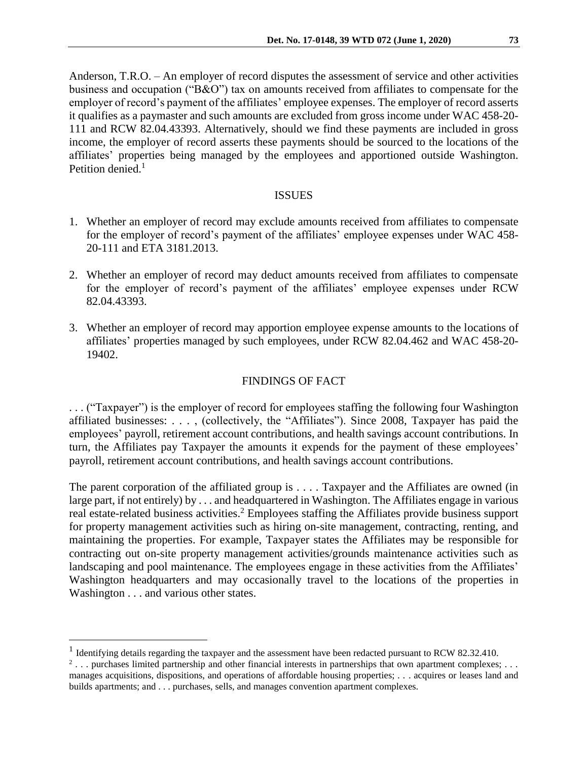Anderson, T.R.O. – An employer of record disputes the assessment of service and other activities business and occupation ("B&O") tax on amounts received from affiliates to compensate for the employer of record's payment of the affiliates' employee expenses. The employer of record asserts it qualifies as a paymaster and such amounts are excluded from gross income under WAC 458-20- 111 and RCW 82.04.43393. Alternatively, should we find these payments are included in gross income, the employer of record asserts these payments should be sourced to the locations of the affiliates' properties being managed by the employees and apportioned outside Washington. Petition denied. $<sup>1</sup>$ </sup>

#### ISSUES

- 1. Whether an employer of record may exclude amounts received from affiliates to compensate for the employer of record's payment of the affiliates' employee expenses under WAC 458- 20-111 and ETA 3181.2013.
- 2. Whether an employer of record may deduct amounts received from affiliates to compensate for the employer of record's payment of the affiliates' employee expenses under RCW 82.04.43393.
- 3. Whether an employer of record may apportion employee expense amounts to the locations of affiliates' properties managed by such employees, under RCW 82.04.462 and WAC 458-20- 19402.

## FINDINGS OF FACT

. . . ("Taxpayer") is the employer of record for employees staffing the following four Washington affiliated businesses: . . . , (collectively, the "Affiliates"). Since 2008, Taxpayer has paid the employees' payroll, retirement account contributions, and health savings account contributions. In turn, the Affiliates pay Taxpayer the amounts it expends for the payment of these employees' payroll, retirement account contributions, and health savings account contributions.

The parent corporation of the affiliated group is . . . . Taxpayer and the Affiliates are owned (in large part, if not entirely) by . . . and headquartered in Washington. The Affiliates engage in various real estate-related business activities.<sup>2</sup> Employees staffing the Affiliates provide business support for property management activities such as hiring on-site management, contracting, renting, and maintaining the properties. For example, Taxpayer states the Affiliates may be responsible for contracting out on-site property management activities/grounds maintenance activities such as landscaping and pool maintenance. The employees engage in these activities from the Affiliates' Washington headquarters and may occasionally travel to the locations of the properties in Washington . . . and various other states.

 $\overline{a}$ 

<sup>&</sup>lt;sup>1</sup> Identifying details regarding the taxpayer and the assessment have been redacted pursuant to RCW 82.32.410.

 $2 \ldots$  purchases limited partnership and other financial interests in partnerships that own apartment complexes;  $\ldots$ manages acquisitions, dispositions, and operations of affordable housing properties; . . . acquires or leases land and builds apartments; and . . . purchases, sells, and manages convention apartment complexes.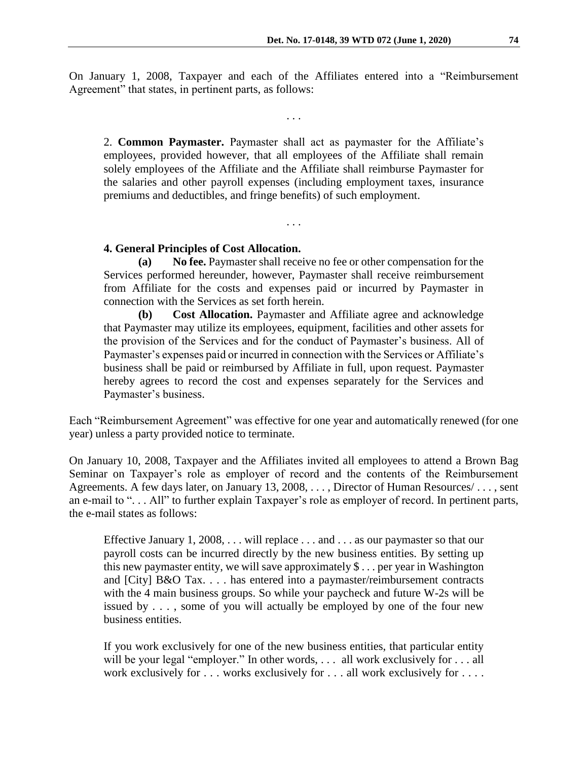On January 1, 2008, Taxpayer and each of the Affiliates entered into a "Reimbursement Agreement" that states, in pertinent parts, as follows:

. . .

2. **Common Paymaster.** Paymaster shall act as paymaster for the Affiliate's employees, provided however, that all employees of the Affiliate shall remain solely employees of the Affiliate and the Affiliate shall reimburse Paymaster for the salaries and other payroll expenses (including employment taxes, insurance premiums and deductibles, and fringe benefits) of such employment.

. . .

#### **4. General Principles of Cost Allocation.**

**(a) No fee.** Paymaster shall receive no fee or other compensation for the Services performed hereunder, however, Paymaster shall receive reimbursement from Affiliate for the costs and expenses paid or incurred by Paymaster in connection with the Services as set forth herein.

**(b) Cost Allocation.** Paymaster and Affiliate agree and acknowledge that Paymaster may utilize its employees, equipment, facilities and other assets for the provision of the Services and for the conduct of Paymaster's business. All of Paymaster's expenses paid or incurred in connection with the Services or Affiliate's business shall be paid or reimbursed by Affiliate in full, upon request. Paymaster hereby agrees to record the cost and expenses separately for the Services and Paymaster's business.

Each "Reimbursement Agreement" was effective for one year and automatically renewed (for one year) unless a party provided notice to terminate.

On January 10, 2008, Taxpayer and the Affiliates invited all employees to attend a Brown Bag Seminar on Taxpayer's role as employer of record and the contents of the Reimbursement Agreements. A few days later, on January 13, 2008, . . . , Director of Human Resources/ . . . , sent an e-mail to ". . . All" to further explain Taxpayer's role as employer of record. In pertinent parts, the e-mail states as follows:

Effective January 1, 2008, . . . will replace . . . and . . . as our paymaster so that our payroll costs can be incurred directly by the new business entities. By setting up this new paymaster entity, we will save approximately \$ . . . per year in Washington and [City] B&O Tax. . . . has entered into a paymaster/reimbursement contracts with the 4 main business groups. So while your paycheck and future W-2s will be issued by . . . , some of you will actually be employed by one of the four new business entities.

If you work exclusively for one of the new business entities, that particular entity will be your legal "employer." In other words, . . . all work exclusively for . . . all work exclusively for . . . works exclusively for . . . all work exclusively for . . . .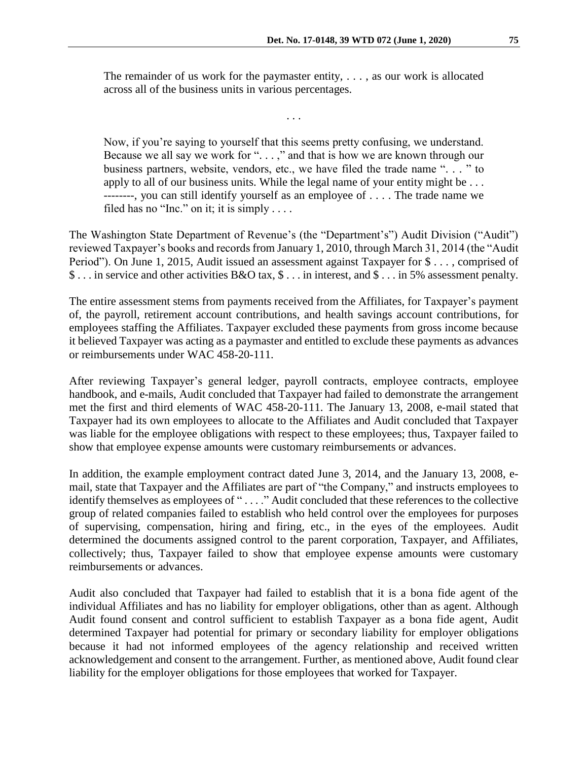The remainder of us work for the paymaster entity, . . . , as our work is allocated across all of the business units in various percentages.

. . .

Now, if you're saying to yourself that this seems pretty confusing, we understand. Because we all say we work for "...," and that is how we are known through our business partners, website, vendors, etc., we have filed the trade name ". . . " to apply to all of our business units. While the legal name of your entity might be . . . --------, you can still identify yourself as an employee of . . . . The trade name we filed has no "Inc." on it; it is simply ....

The Washington State Department of Revenue's (the "Department's") Audit Division ("Audit") reviewed Taxpayer's books and records from January 1, 2010, through March 31, 2014 (the "Audit Period"). On June 1, 2015, Audit issued an assessment against Taxpayer for \$ . . . , comprised of \$ . . . in service and other activities B&O tax, \$ . . . in interest, and \$ . . . in 5% assessment penalty.

The entire assessment stems from payments received from the Affiliates, for Taxpayer's payment of, the payroll, retirement account contributions, and health savings account contributions, for employees staffing the Affiliates. Taxpayer excluded these payments from gross income because it believed Taxpayer was acting as a paymaster and entitled to exclude these payments as advances or reimbursements under WAC 458-20-111.

After reviewing Taxpayer's general ledger, payroll contracts, employee contracts, employee handbook, and e-mails, Audit concluded that Taxpayer had failed to demonstrate the arrangement met the first and third elements of WAC 458-20-111. The January 13, 2008, e-mail stated that Taxpayer had its own employees to allocate to the Affiliates and Audit concluded that Taxpayer was liable for the employee obligations with respect to these employees; thus, Taxpayer failed to show that employee expense amounts were customary reimbursements or advances.

In addition, the example employment contract dated June 3, 2014, and the January 13, 2008, email, state that Taxpayer and the Affiliates are part of "the Company," and instructs employees to identify themselves as employees of " . . . ." Audit concluded that these references to the collective group of related companies failed to establish who held control over the employees for purposes of supervising, compensation, hiring and firing, etc., in the eyes of the employees. Audit determined the documents assigned control to the parent corporation, Taxpayer, and Affiliates, collectively; thus, Taxpayer failed to show that employee expense amounts were customary reimbursements or advances.

Audit also concluded that Taxpayer had failed to establish that it is a bona fide agent of the individual Affiliates and has no liability for employer obligations, other than as agent. Although Audit found consent and control sufficient to establish Taxpayer as a bona fide agent, Audit determined Taxpayer had potential for primary or secondary liability for employer obligations because it had not informed employees of the agency relationship and received written acknowledgement and consent to the arrangement. Further, as mentioned above, Audit found clear liability for the employer obligations for those employees that worked for Taxpayer.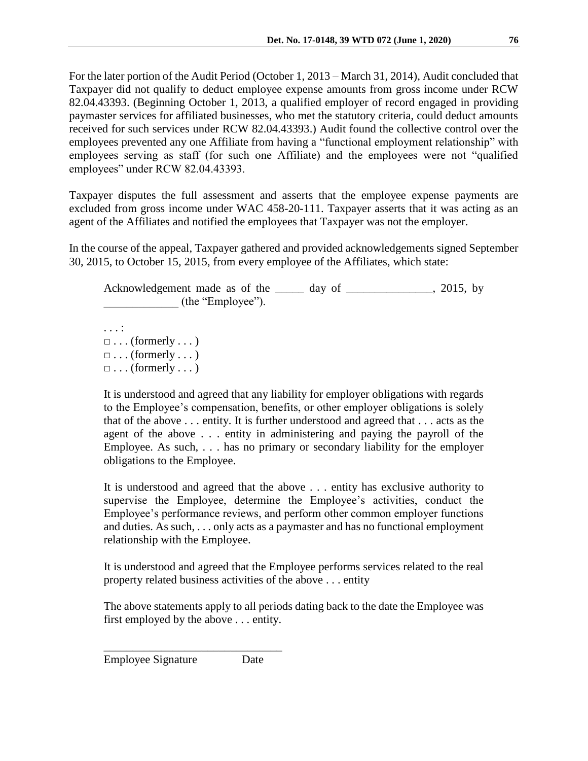For the later portion of the Audit Period (October 1, 2013 – March 31, 2014), Audit concluded that Taxpayer did not qualify to deduct employee expense amounts from gross income under RCW 82.04.43393. (Beginning October 1, 2013, a qualified employer of record engaged in providing paymaster services for affiliated businesses, who met the statutory criteria, could deduct amounts received for such services under RCW 82.04.43393.) Audit found the collective control over the employees prevented any one Affiliate from having a "functional employment relationship" with employees serving as staff (for such one Affiliate) and the employees were not "qualified employees" under RCW 82.04.43393.

Taxpayer disputes the full assessment and asserts that the employee expense payments are excluded from gross income under WAC 458-20-111. Taxpayer asserts that it was acting as an agent of the Affiliates and notified the employees that Taxpayer was not the employer.

In the course of the appeal, Taxpayer gathered and provided acknowledgements signed September 30, 2015, to October 15, 2015, from every employee of the Affiliates, which state:

Acknowledgement made as of the \_\_\_\_\_ day of \_\_\_\_\_\_\_\_\_\_\_\_\_, 2015, by (the "Employee").

. . . :  $\Box \ldots$  (formerly  $\ldots$ )  $\Box \ldots$  (formerly  $\ldots$ )  $\Box \ldots$  (formerly ...)

It is understood and agreed that any liability for employer obligations with regards to the Employee's compensation, benefits, or other employer obligations is solely that of the above . . . entity. It is further understood and agreed that . . . acts as the agent of the above . . . entity in administering and paying the payroll of the Employee. As such, . . . has no primary or secondary liability for the employer obligations to the Employee.

It is understood and agreed that the above . . . entity has exclusive authority to supervise the Employee, determine the Employee's activities, conduct the Employee's performance reviews, and perform other common employer functions and duties. As such, . . . only acts as a paymaster and has no functional employment relationship with the Employee.

It is understood and agreed that the Employee performs services related to the real property related business activities of the above . . . entity

The above statements apply to all periods dating back to the date the Employee was first employed by the above . . . entity.

Employee Signature Date

\_\_\_\_\_\_\_\_\_\_\_\_\_\_\_\_\_\_\_\_\_\_\_\_\_\_\_\_\_\_\_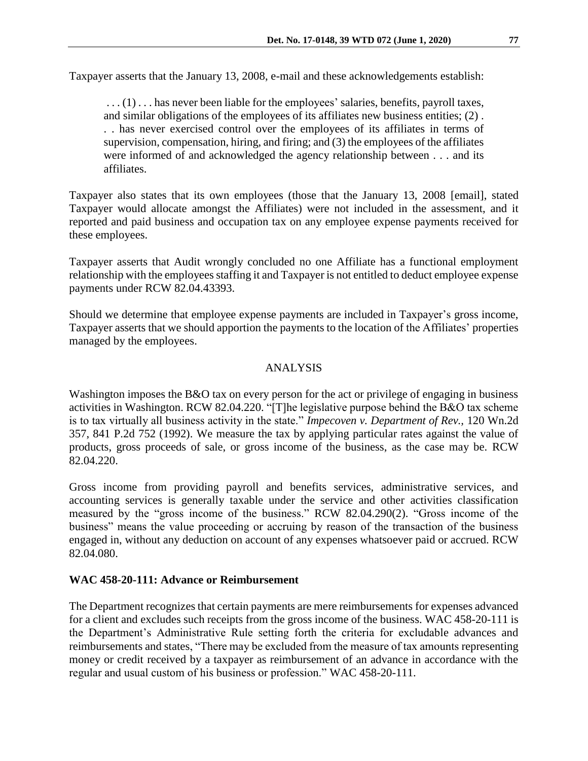Taxpayer asserts that the January 13, 2008, e-mail and these acknowledgements establish:

...(1)... has never been liable for the employees' salaries, benefits, payroll taxes, and similar obligations of the employees of its affiliates new business entities; (2) . . . has never exercised control over the employees of its affiliates in terms of supervision, compensation, hiring, and firing; and (3) the employees of the affiliates were informed of and acknowledged the agency relationship between . . . and its affiliates.

Taxpayer also states that its own employees (those that the January 13, 2008 [email], stated Taxpayer would allocate amongst the Affiliates) were not included in the assessment, and it reported and paid business and occupation tax on any employee expense payments received for these employees.

Taxpayer asserts that Audit wrongly concluded no one Affiliate has a functional employment relationship with the employees staffing it and Taxpayer is not entitled to deduct employee expense payments under RCW 82.04.43393.

Should we determine that employee expense payments are included in Taxpayer's gross income, Taxpayer asserts that we should apportion the payments to the location of the Affiliates' properties managed by the employees.

### ANALYSIS

Washington imposes the B&O tax on every person for the act or privilege of engaging in business activities in Washington. RCW 82.04.220. "[T]he legislative purpose behind the B&O tax scheme is to tax virtually all business activity in the state." *Impecoven v. Department of Rev.,* 120 Wn.2d 357, 841 P.2d 752 (1992). We measure the tax by applying particular rates against the value of products, gross proceeds of sale, or gross income of the business, as the case may be. RCW 82.04.220.

Gross income from providing payroll and benefits services, administrative services, and accounting services is generally taxable under the service and other activities classification measured by the "gross income of the business." RCW 82.04.290(2). "Gross income of the business" means the value proceeding or accruing by reason of the transaction of the business engaged in, without any deduction on account of any expenses whatsoever paid or accrued. RCW 82.04.080.

#### **WAC 458-20-111: Advance or Reimbursement**

The Department recognizes that certain payments are mere reimbursements for expenses advanced for a client and excludes such receipts from the gross income of the business. WAC 458-20-111 is the Department's Administrative Rule setting forth the criteria for excludable advances and reimbursements and states, "There may be excluded from the measure of tax amounts representing money or credit received by a taxpayer as reimbursement of an advance in accordance with the regular and usual custom of his business or profession." WAC 458-20-111.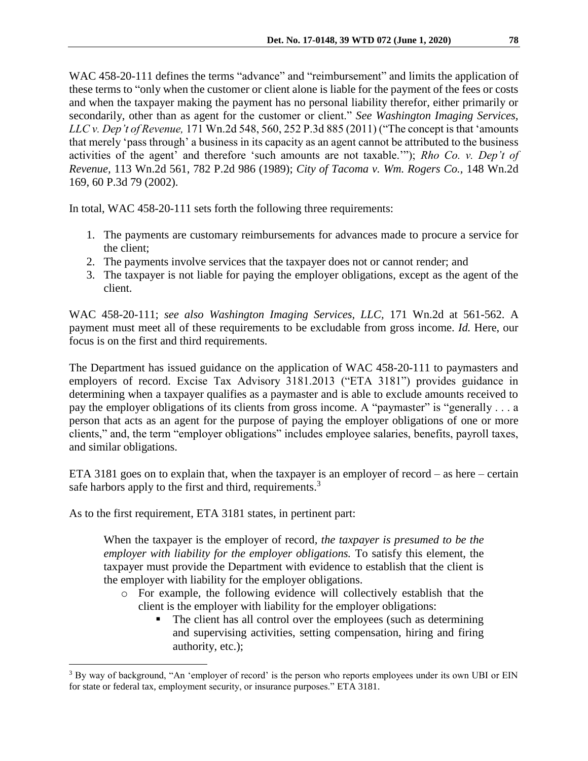WAC 458-20-111 defines the terms "advance" and "reimbursement" and limits the application of these terms to "only when the customer or client alone is liable for the payment of the fees or costs and when the taxpayer making the payment has no personal liability therefor, either primarily or secondarily, other than as agent for the customer or client." *See Washington Imaging Services, LLC v. Dep't of Revenue,* 171 Wn.2d 548, 560, 252 P.3d 885 (2011) ("The concept is that 'amounts that merely 'pass through' a business in its capacity as an agent cannot be attributed to the business activities of the agent' and therefore 'such amounts are not taxable.'"); *Rho Co. v. Dep't of Revenue,* 113 Wn.2d 561, 782 P.2d 986 (1989); *City of Tacoma v. Wm. Rogers Co.,* 148 Wn.2d 169, 60 P.3d 79 (2002).

In total, WAC 458-20-111 sets forth the following three requirements:

- 1. The payments are customary reimbursements for advances made to procure a service for the client;
- 2. The payments involve services that the taxpayer does not or cannot render; and
- 3. The taxpayer is not liable for paying the employer obligations, except as the agent of the client.

WAC 458-20-111; *see also Washington Imaging Services, LLC,* 171 Wn.2d at 561-562. A payment must meet all of these requirements to be excludable from gross income. *Id.* Here, our focus is on the first and third requirements.

The Department has issued guidance on the application of WAC 458-20-111 to paymasters and employers of record. Excise Tax Advisory 3181.2013 ("ETA 3181") provides guidance in determining when a taxpayer qualifies as a paymaster and is able to exclude amounts received to pay the employer obligations of its clients from gross income. A "paymaster" is "generally . . . a person that acts as an agent for the purpose of paying the employer obligations of one or more clients," and, the term "employer obligations" includes employee salaries, benefits, payroll taxes, and similar obligations.

ETA 3181 goes on to explain that, when the taxpayer is an employer of record – as here – certain safe harbors apply to the first and third, requirements.<sup>3</sup>

As to the first requirement, ETA 3181 states, in pertinent part:

 $\overline{a}$ 

When the taxpayer is the employer of record*, the taxpayer is presumed to be the employer with liability for the employer obligations.* To satisfy this element, the taxpayer must provide the Department with evidence to establish that the client is the employer with liability for the employer obligations.

- o For example, the following evidence will collectively establish that the client is the employer with liability for the employer obligations:
	- The client has all control over the employees (such as determining and supervising activities, setting compensation, hiring and firing authority, etc.);

<sup>&</sup>lt;sup>3</sup> By way of background, "An 'employer of record' is the person who reports employees under its own UBI or EIN for state or federal tax, employment security, or insurance purposes." ETA 3181.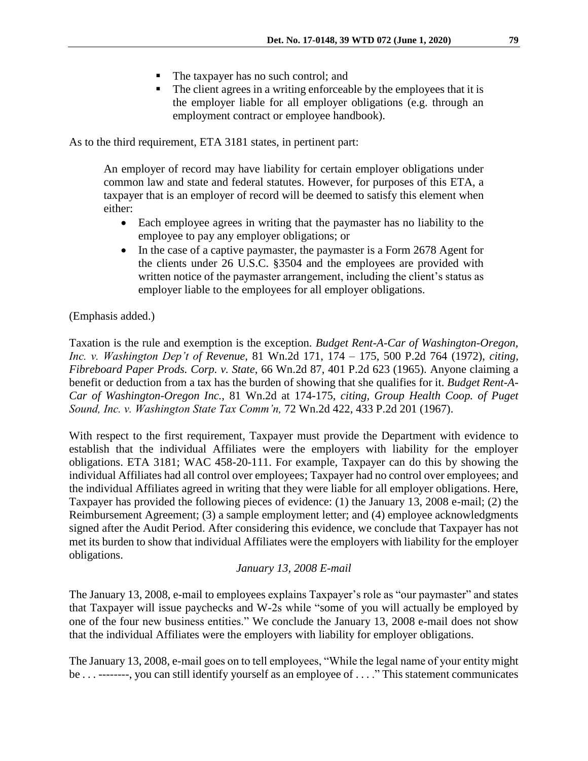- The taxpayer has no such control; and
- The client agrees in a writing enforceable by the employees that it is the employer liable for all employer obligations (e.g. through an employment contract or employee handbook).

As to the third requirement, ETA 3181 states, in pertinent part:

An employer of record may have liability for certain employer obligations under common law and state and federal statutes. However, for purposes of this ETA, a taxpayer that is an employer of record will be deemed to satisfy this element when either:

- Each employee agrees in writing that the paymaster has no liability to the employee to pay any employer obligations; or
- In the case of a captive paymaster, the paymaster is a Form 2678 Agent for the clients under 26 U.S.C. §3504 and the employees are provided with written notice of the paymaster arrangement, including the client's status as employer liable to the employees for all employer obligations.

(Emphasis added.)

Taxation is the rule and exemption is the exception. *Budget Rent-A-Car of Washington-Oregon, Inc. v. Washington Dep't of Revenue,* 81 Wn.2d 171, 174 – 175, 500 P.2d 764 (1972), *citing, Fibreboard Paper Prods. Corp. v. State,* 66 Wn.2d 87, 401 P.2d 623 (1965). Anyone claiming a benefit or deduction from a tax has the burden of showing that she qualifies for it. *Budget Rent-A-Car of Washington-Oregon Inc.,* 81 Wn.2d at 174-175, *citing, Group Health Coop. of Puget Sound, Inc. v. Washington State Tax Comm'n,* 72 Wn.2d 422, 433 P.2d 201 (1967).

With respect to the first requirement, Taxpayer must provide the Department with evidence to establish that the individual Affiliates were the employers with liability for the employer obligations. ETA 3181; WAC 458-20-111. For example, Taxpayer can do this by showing the individual Affiliates had all control over employees; Taxpayer had no control over employees; and the individual Affiliates agreed in writing that they were liable for all employer obligations. Here, Taxpayer has provided the following pieces of evidence: (1) the January 13, 2008 e-mail; (2) the Reimbursement Agreement; (3) a sample employment letter; and (4) employee acknowledgments signed after the Audit Period. After considering this evidence, we conclude that Taxpayer has not met its burden to show that individual Affiliates were the employers with liability for the employer obligations.

*January 13, 2008 E-mail*

The January 13, 2008, e-mail to employees explains Taxpayer's role as "our paymaster" and states that Taxpayer will issue paychecks and W-2s while "some of you will actually be employed by one of the four new business entities." We conclude the January 13, 2008 e-mail does not show that the individual Affiliates were the employers with liability for employer obligations.

The January 13, 2008, e-mail goes on to tell employees, "While the legal name of your entity might be . . . --------, you can still identify yourself as an employee of . . . ." This statement communicates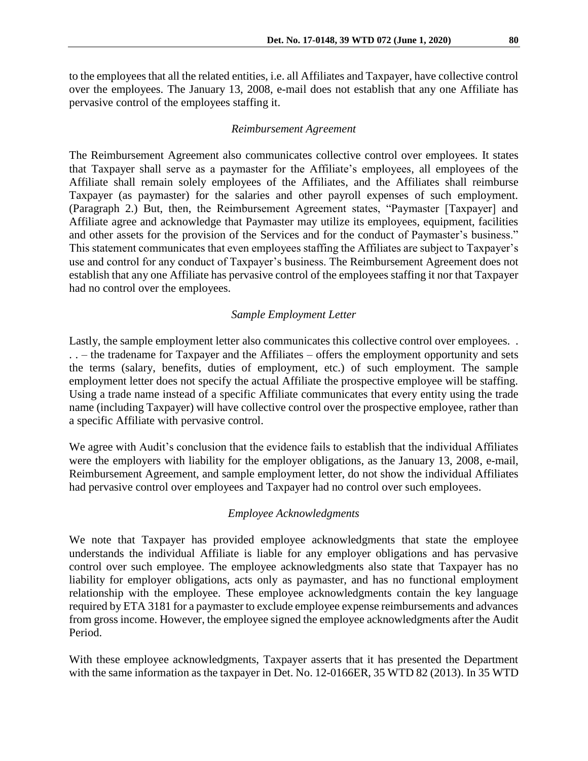to the employees that all the related entities, i.e. all Affiliates and Taxpayer, have collective control over the employees. The January 13, 2008, e-mail does not establish that any one Affiliate has pervasive control of the employees staffing it.

#### *Reimbursement Agreement*

The Reimbursement Agreement also communicates collective control over employees. It states that Taxpayer shall serve as a paymaster for the Affiliate's employees, all employees of the Affiliate shall remain solely employees of the Affiliates, and the Affiliates shall reimburse Taxpayer (as paymaster) for the salaries and other payroll expenses of such employment. (Paragraph 2.) But, then, the Reimbursement Agreement states, "Paymaster [Taxpayer] and Affiliate agree and acknowledge that Paymaster may utilize its employees, equipment, facilities and other assets for the provision of the Services and for the conduct of Paymaster's business." This statement communicates that even employees staffing the Affiliates are subject to Taxpayer's use and control for any conduct of Taxpayer's business. The Reimbursement Agreement does not establish that any one Affiliate has pervasive control of the employees staffing it nor that Taxpayer had no control over the employees.

#### *Sample Employment Letter*

Lastly, the sample employment letter also communicates this collective control over employees... . . – the tradename for Taxpayer and the Affiliates – offers the employment opportunity and sets the terms (salary, benefits, duties of employment, etc.) of such employment. The sample employment letter does not specify the actual Affiliate the prospective employee will be staffing. Using a trade name instead of a specific Affiliate communicates that every entity using the trade name (including Taxpayer) will have collective control over the prospective employee, rather than a specific Affiliate with pervasive control.

We agree with Audit's conclusion that the evidence fails to establish that the individual Affiliates were the employers with liability for the employer obligations, as the January 13, 2008, e-mail, Reimbursement Agreement, and sample employment letter, do not show the individual Affiliates had pervasive control over employees and Taxpayer had no control over such employees.

#### *Employee Acknowledgments*

We note that Taxpayer has provided employee acknowledgments that state the employee understands the individual Affiliate is liable for any employer obligations and has pervasive control over such employee. The employee acknowledgments also state that Taxpayer has no liability for employer obligations, acts only as paymaster, and has no functional employment relationship with the employee. These employee acknowledgments contain the key language required by ETA 3181 for a paymaster to exclude employee expense reimbursements and advances from gross income. However, the employee signed the employee acknowledgments after the Audit Period.

With these employee acknowledgments, Taxpayer asserts that it has presented the Department with the same information as the taxpayer in Det. No. 12-0166ER, 35 WTD 82 (2013). In 35 WTD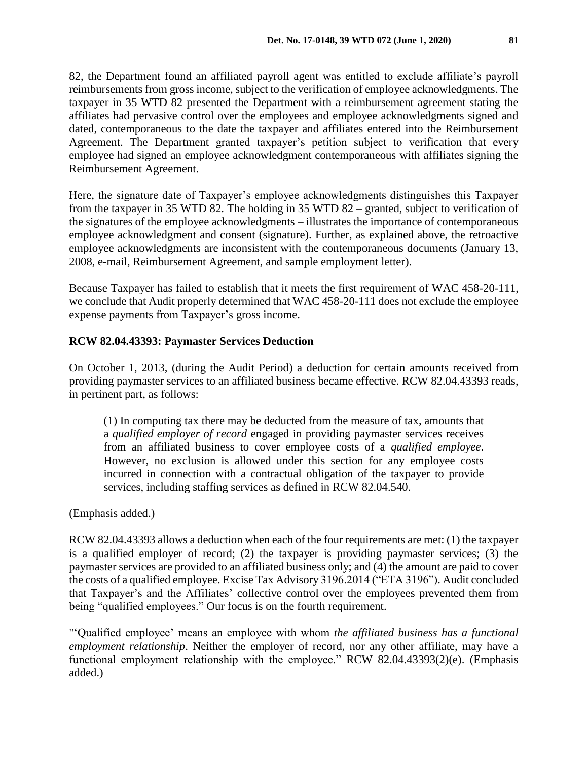82, the Department found an affiliated payroll agent was entitled to exclude affiliate's payroll reimbursements from gross income, subject to the verification of employee acknowledgments. The taxpayer in 35 WTD 82 presented the Department with a reimbursement agreement stating the affiliates had pervasive control over the employees and employee acknowledgments signed and dated, contemporaneous to the date the taxpayer and affiliates entered into the Reimbursement Agreement. The Department granted taxpayer's petition subject to verification that every employee had signed an employee acknowledgment contemporaneous with affiliates signing the Reimbursement Agreement.

Here, the signature date of Taxpayer's employee acknowledgments distinguishes this Taxpayer from the taxpayer in 35 WTD 82. The holding in 35 WTD 82 – granted, subject to verification of the signatures of the employee acknowledgments – illustrates the importance of contemporaneous employee acknowledgment and consent (signature). Further, as explained above, the retroactive employee acknowledgments are inconsistent with the contemporaneous documents (January 13, 2008, e-mail, Reimbursement Agreement, and sample employment letter).

Because Taxpayer has failed to establish that it meets the first requirement of WAC 458-20-111, we conclude that Audit properly determined that WAC 458-20-111 does not exclude the employee expense payments from Taxpayer's gross income.

## **RCW 82.04.43393: Paymaster Services Deduction**

On October 1, 2013, (during the Audit Period) a deduction for certain amounts received from providing paymaster services to an affiliated business became effective. RCW 82.04.43393 reads, in pertinent part, as follows:

(1) In computing tax there may be deducted from the measure of tax, amounts that a *qualified employer of record* engaged in providing paymaster services receives from an affiliated business to cover employee costs of a *qualified employee*. However, no exclusion is allowed under this section for any employee costs incurred in connection with a contractual obligation of the taxpayer to provide services, including staffing services as defined in RCW 82.04.540.

(Emphasis added.)

RCW 82.04.43393 allows a deduction when each of the four requirements are met: (1) the taxpayer is a qualified employer of record; (2) the taxpayer is providing paymaster services; (3) the paymaster services are provided to an affiliated business only; and (4) the amount are paid to cover the costs of a qualified employee. Excise Tax Advisory 3196.2014 ("ETA 3196"). Audit concluded that Taxpayer's and the Affiliates' collective control over the employees prevented them from being "qualified employees." Our focus is on the fourth requirement.

"'Qualified employee' means an employee with whom *the affiliated business has a functional employment relationship*. Neither the employer of record, nor any other affiliate, may have a functional employment relationship with the employee." RCW 82.04.43393(2)(e). (Emphasis added.)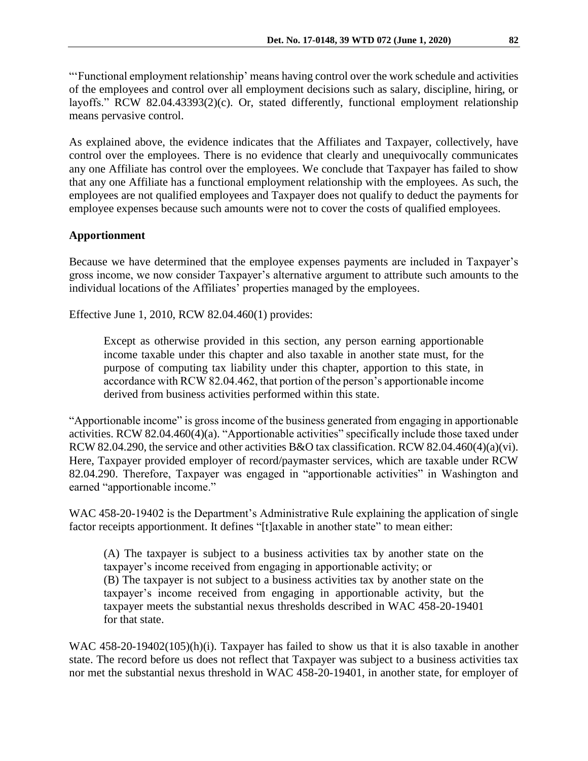"'Functional employment relationship' means having control over the work schedule and activities of the employees and control over all employment decisions such as salary, discipline, hiring, or layoffs." RCW 82.04.43393(2)(c). Or, stated differently, functional employment relationship means pervasive control.

As explained above, the evidence indicates that the Affiliates and Taxpayer, collectively, have control over the employees. There is no evidence that clearly and unequivocally communicates any one Affiliate has control over the employees. We conclude that Taxpayer has failed to show that any one Affiliate has a functional employment relationship with the employees. As such, the employees are not qualified employees and Taxpayer does not qualify to deduct the payments for employee expenses because such amounts were not to cover the costs of qualified employees.

### **Apportionment**

Because we have determined that the employee expenses payments are included in Taxpayer's gross income, we now consider Taxpayer's alternative argument to attribute such amounts to the individual locations of the Affiliates' properties managed by the employees.

Effective June 1, 2010, RCW 82.04.460(1) provides:

Except as otherwise provided in this section, any person earning apportionable income taxable under this chapter and also taxable in another state must, for the purpose of computing tax liability under this chapter, apportion to this state, in accordance with RCW 82.04.462, that portion of the person's apportionable income derived from business activities performed within this state.

"Apportionable income" is gross income of the business generated from engaging in apportionable activities. RCW 82.04.460(4)(a). "Apportionable activities" specifically include those taxed under RCW 82.04.290, the service and other activities B&O tax classification. RCW 82.04.460(4)(a)(vi). Here, Taxpayer provided employer of record/paymaster services, which are taxable under RCW 82.04.290. Therefore, Taxpayer was engaged in "apportionable activities" in Washington and earned "apportionable income."

WAC 458-20-19402 is the Department's Administrative Rule explaining the application of single factor receipts apportionment. It defines "[t]axable in another state" to mean either:

(A) The taxpayer is subject to a business activities tax by another state on the taxpayer's income received from engaging in apportionable activity; or (B) The taxpayer is not subject to a business activities tax by another state on the taxpayer's income received from engaging in apportionable activity, but the taxpayer meets the substantial nexus thresholds described in WAC 458-20-19401 for that state.

WAC 458-20-19402(105)(h)(i). Taxpayer has failed to show us that it is also taxable in another state. The record before us does not reflect that Taxpayer was subject to a business activities tax nor met the substantial nexus threshold in WAC 458-20-19401, in another state, for employer of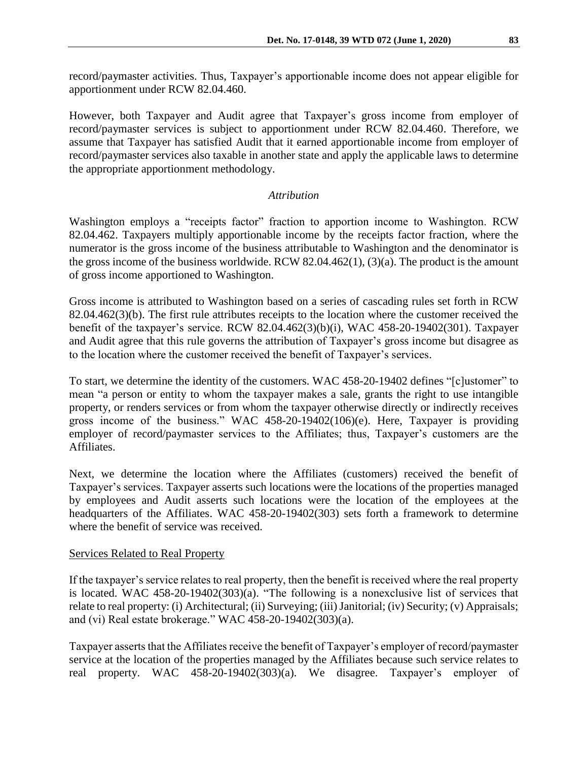record/paymaster activities. Thus, Taxpayer's apportionable income does not appear eligible for apportionment under RCW 82.04.460.

However, both Taxpayer and Audit agree that Taxpayer's gross income from employer of record/paymaster services is subject to apportionment under RCW 82.04.460. Therefore, we assume that Taxpayer has satisfied Audit that it earned apportionable income from employer of record/paymaster services also taxable in another state and apply the applicable laws to determine the appropriate apportionment methodology.

## *Attribution*

Washington employs a "receipts factor" fraction to apportion income to Washington. RCW 82.04.462. Taxpayers multiply apportionable income by the receipts factor fraction, where the numerator is the gross income of the business attributable to Washington and the denominator is the gross income of the business worldwide. RCW 82.04.462(1), (3)(a). The product is the amount of gross income apportioned to Washington.

Gross income is attributed to Washington based on a series of cascading rules set forth in RCW 82.04.462(3)(b). The first rule attributes receipts to the location where the customer received the benefit of the taxpayer's service. RCW 82.04.462(3)(b)(i), WAC 458-20-19402(301). Taxpayer and Audit agree that this rule governs the attribution of Taxpayer's gross income but disagree as to the location where the customer received the benefit of Taxpayer's services.

To start, we determine the identity of the customers. WAC 458-20-19402 defines "[c]ustomer" to mean "a person or entity to whom the taxpayer makes a sale, grants the right to use intangible property, or renders services or from whom the taxpayer otherwise directly or indirectly receives gross income of the business." WAC 458-20-19402(106)(e). Here, Taxpayer is providing employer of record/paymaster services to the Affiliates; thus, Taxpayer's customers are the Affiliates.

Next, we determine the location where the Affiliates (customers) received the benefit of Taxpayer's services. Taxpayer asserts such locations were the locations of the properties managed by employees and Audit asserts such locations were the location of the employees at the headquarters of the Affiliates. WAC 458-20-19402(303) sets forth a framework to determine where the benefit of service was received.

## Services Related to Real Property

If the taxpayer's service relates to real property, then the benefit is received where the real property is located. WAC 458-20-19402(303)(a). "The following is a nonexclusive list of services that relate to real property: (i) Architectural; (ii) Surveying; (iii) Janitorial; (iv) Security; (v) Appraisals; and (vi) Real estate brokerage." WAC 458-20-19402(303)(a).

Taxpayer asserts that the Affiliates receive the benefit of Taxpayer's employer of record/paymaster service at the location of the properties managed by the Affiliates because such service relates to real property. WAC 458-20-19402(303)(a). We disagree. Taxpayer's employer of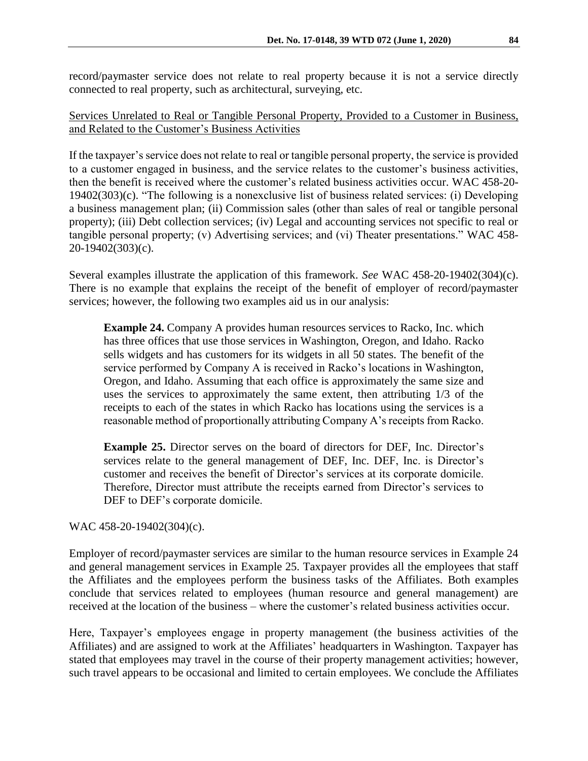record/paymaster service does not relate to real property because it is not a service directly connected to real property, such as architectural, surveying, etc.

### Services Unrelated to Real or Tangible Personal Property, Provided to a Customer in Business, and Related to the Customer's Business Activities

If the taxpayer's service does not relate to real or tangible personal property, the service is provided to a customer engaged in business, and the service relates to the customer's business activities, then the benefit is received where the customer's related business activities occur. WAC 458-20- 19402(303)(c). "The following is a nonexclusive list of business related services: (i) Developing a business management plan; (ii) Commission sales (other than sales of real or tangible personal property); (iii) Debt collection services; (iv) Legal and accounting services not specific to real or tangible personal property; (v) Advertising services; and (vi) Theater presentations." WAC 458- 20-19402(303)(c).

Several examples illustrate the application of this framework. *See* WAC 458-20-19402(304)(c). There is no example that explains the receipt of the benefit of employer of record/paymaster services; however, the following two examples aid us in our analysis:

**Example 24.** Company A provides human resources services to Racko, Inc. which has three offices that use those services in Washington, Oregon, and Idaho. Racko sells widgets and has customers for its widgets in all 50 states. The benefit of the service performed by Company A is received in Racko's locations in Washington, Oregon, and Idaho. Assuming that each office is approximately the same size and uses the services to approximately the same extent, then attributing 1/3 of the receipts to each of the states in which Racko has locations using the services is a reasonable method of proportionally attributing Company A's receipts from Racko.

**Example 25.** Director serves on the board of directors for DEF, Inc. Director's services relate to the general management of DEF, Inc. DEF, Inc. is Director's customer and receives the benefit of Director's services at its corporate domicile. Therefore, Director must attribute the receipts earned from Director's services to DEF to DEF's corporate domicile.

WAC 458-20-19402(304)(c).

Employer of record/paymaster services are similar to the human resource services in Example 24 and general management services in Example 25. Taxpayer provides all the employees that staff the Affiliates and the employees perform the business tasks of the Affiliates. Both examples conclude that services related to employees (human resource and general management) are received at the location of the business – where the customer's related business activities occur.

Here, Taxpayer's employees engage in property management (the business activities of the Affiliates) and are assigned to work at the Affiliates' headquarters in Washington. Taxpayer has stated that employees may travel in the course of their property management activities; however, such travel appears to be occasional and limited to certain employees. We conclude the Affiliates